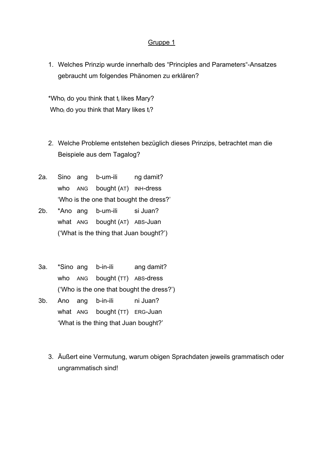1. Welches Prinzip wurde innerhalb des "Principles and Parameters"-Ansatzes gebraucht um folgendes Phänomen zu erklären?

\*Who<sub>i</sub> do you think that  $t_i$  likes Mary? Who<sub>i</sub> do you think that Mary likes  $t_i$ ?

- 2. Welche Probleme entstehen bezüglich dieses Prinzips, betrachtet man die Beispiele aus dem Tagalog?
- 2a. Sino ang b-um-ili ng damit? who ANG bought (AT) INH-dress 'Who is the one that bought the dress?'
- 2b. \*Ano ang b-um-ili si Juan? what ANG bought (AT) ABS-Juan ('What is the thing that Juan bought?')
- 3a. \*Sino ang b-in-ili ang damit? who ANG bought (TT) ABS-dress ('Who is the one that bought the dress?')
- 3b. Ano ang b-in-ili ni Juan? what ANG bought (TT) ERG-Juan 'What is the thing that Juan bought?'
	- 3. Äußert eine Vermutung, warum obigen Sprachdaten jeweils grammatisch oder ungrammatisch sind!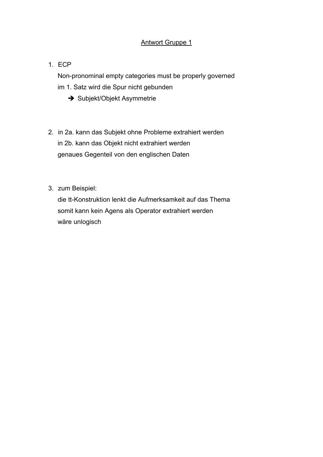# Antwort Gruppe 1

## 1. ECP

Non-pronominal empty categories must be properly governed im 1. Satz wird die Spur nicht gebunden

- $\rightarrow$  Subjekt/Objekt Asymmetrie
- 2. in 2a. kann das Subjekt ohne Probleme extrahiert werden in 2b. kann das Objekt nicht extrahiert werden genaues Gegenteil von den englischen Daten
- 3. zum Beispiel:

die tt-Konstruktion lenkt die Aufmerksamkeit auf das Thema somit kann kein Agens als Operator extrahiert werden wäre unlogisch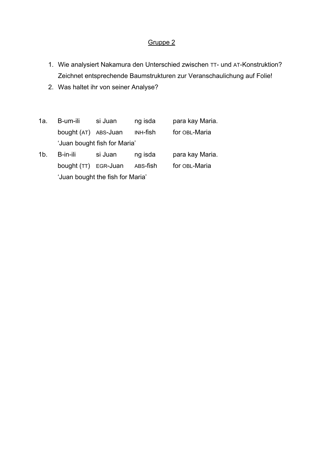- 1. Wie analysiert Nakamura den Unterschied zwischen TT- und AT-Konstruktion? Zeichnet entsprechende Baumstrukturen zur Veranschaulichung auf Folie!
- 2. Was haltet ihr von seiner Analyse?
- 1a. B-um-ili si Juan ng isda para kay Maria. bought (AT) ABS-Juan INH-fish for OBL-Maria 'Juan bought fish for Maria' 1b. B-in-ili si Juan ng isda para kay Maria. bought (TT) EGR-Juan ABS-fish for OBL-Maria 'Juan bought the fish for Maria'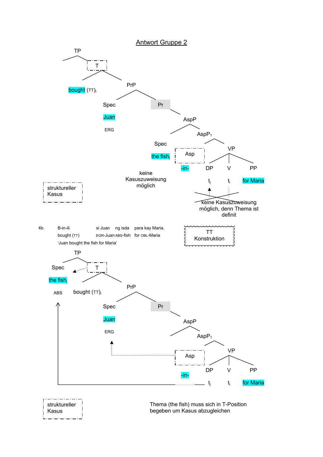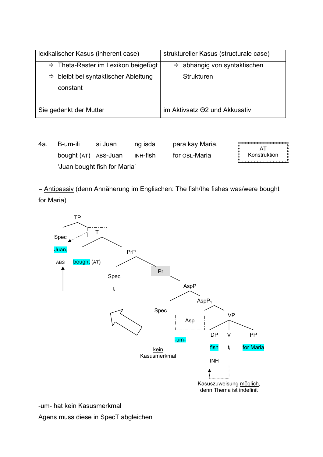| lexikalischer Kasus (inherent case)             | struktureller Kasus (structurale case)   |  |  |
|-------------------------------------------------|------------------------------------------|--|--|
| $\Rightarrow$ Theta-Raster im Lexikon beigefügt | $\Rightarrow$ abhängig von syntaktischen |  |  |
| bleibt bei syntaktischer Ableitung<br>⇨         | <b>Strukturen</b>                        |  |  |
| constant                                        |                                          |  |  |
|                                                 |                                          |  |  |
| Sie gedenkt der Mutter                          | im Aktivsatz 02 und Akkusativ            |  |  |

4a. B-um-ili si Juan ng isda para kay Maria. unun AT bought (AT) ABS-Juan INH-fish for OBL-Maria Konstruktion 'Juan bought fish for Maria'

= Antipassiv (denn Annäherung im Englischen: The fish/the fishes was/were bought for Maria)



-um- hat kein Kasusmerkmal

Agens muss diese in SpecT abgleichen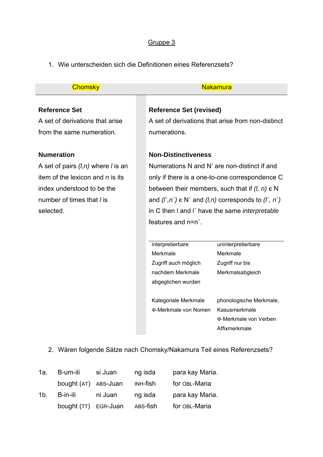1. Wie unterscheiden sich die Definitionen eines Referenzsets?

| <b>Service Service</b> |  |
|------------------------|--|
|                        |  |
|                        |  |
|                        |  |
|                        |  |
|                        |  |
|                        |  |
|                        |  |
|                        |  |

## **Reference Set**

A set of derivations that arise from the same numeration.

## **Numeration**

A set of pairs *(l,n)* where *l* is an item of the lexicon and *n* is its index understood to be the number of times that *l* is selected.

### **Chomsky** Nakamura Nakamura

## **Reference Set (revised)**

A set of derivations that arise from non-distinct numerations.

## **Non-Distinctiveness**

Numerations N and N' are non-distinct if and only if there is a one-to-one correspondence C between their members, such that if *(l, n)* є N and *(l´,n´)* є N´ and *(l,n)* corresponds to *(l´, n´)* in C then l and l´ have the same *interpretable* features and n=n´.

interpretierbare Merkmale Zugriff auch möglich nachdem Merkmale abgeglichen wurden

uninterpretierbare Merkmale Zugriff nur bis Merkmalsabgleich

Kategoriale Merkmale Φ-Merkmale von Nomen phonologische Merkmale, Kasusmerkmale Φ-Merkmale von Verben Affixmerkmale

2. Wären folgende Sätze nach Chomsky/Nakamura Teil eines Referenzsets?

| 1a. | B-um-ili             | si Juan | ng isda  | para kay Maria. |
|-----|----------------------|---------|----------|-----------------|
|     | bought (AT) ABS-Juan |         | INH-fish | for OBL-Maria   |
| 1b. | B-in-ili             | ni Juan | ng isda  | para kay Maria. |
|     | bought (TT) EGR-Juan |         | ABS-fish | for OBL-Maria   |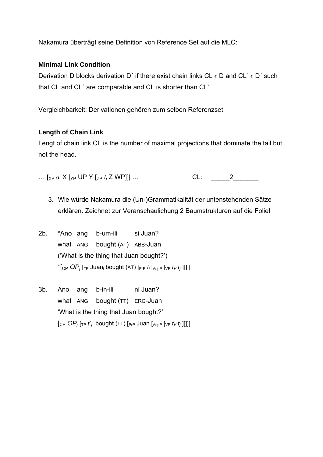Nakamura überträgt seine Definition von Reference Set auf die MLC:

## **Minimal Link Condition**

Derivation D blocks derivation D' if there exist chain links CL  $\epsilon$  D and CL'  $\epsilon$  D' such that CL and CL' are comparable and CL is shorter than CL'

Vergleichbarkeit: Derivationen gehören zum selben Referenzset

## **Length of Chain Link**

Lengt of chain link CL is the number of maximal projections that dominate the tail but not the head.

- $\ldots\ [\chi_P\ \alpha_i\ X\ [\gamma_P\ \mathsf{UP}\ Y\ [\zeta_P\ t_i\ \mathsf{Z}\ \mathsf{WP}]]]\ \ldots$  $CL: 2$ 
	- 3. Wie würde Nakamura die (Un-)Grammatikalität der untenstehenden Sätze erklären. Zeichnet zur Veranschaulichung 2 Baumstrukturen auf die Folie!
- \*Ano ang b-um-ili si Juan?  $2b.$ what ANG bought (AT) ABS-Juan ('What is the thing that Juan bought?') \*[CP  $OP_i$  [TP Juan<sub>i</sub> bought (AT) [PrP  $t_i$  [AspP [VP  $t_V$   $t_j$ ]]]]]
- $3<sub>b</sub>$ Ano ang b-in-ili ni Juan? what ANG bought (TT) ERG-Juan 'What is the thing that Juan bought?'  $[CP \text{OP}_i$   $[TP \text{t}_i^{\prime}]$  bought (TT)  $[PP \text{P}_i]$  Juan  $[AP \text{A}_{\text{SDP}}]$  [VP  $t_V t_i$ ]]]]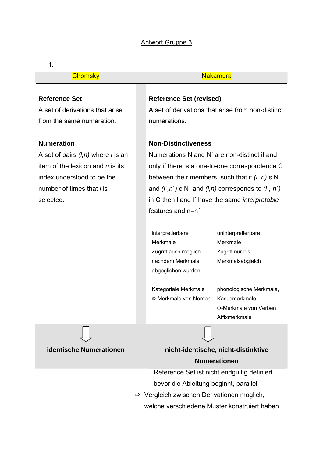## Antwort Gruppe 3

#### 1.

#### Chomsky **Nakamura**

### **Reference Set**

A set of derivations that arise from the same numeration.

### **Numeration**

A set of pairs *(l,n)* where *l* is an item of the lexicon and *n* is its index understood to be the number of times that *l* is selected.

## **Reference Set (revised)**

A set of derivations that arise from non-distinct numerations.

### **Non-Distinctiveness**

Numerations N and N' are non-distinct if and only if there is a one-to-one correspondence C between their members, such that if *(l, n)* є N and *(l´,n´)* є N´ and *(l,n)* corresponds to *(l´, n´)* in C then l and l´ have the same *interpretable* features and n=n´.

interpretierbare Merkmale Zugriff auch möglich nachdem Merkmale abgeglichen wurden uninterpretierbare Merkmale Zugriff nur bis Merkmalsabgleich

Kategoriale Merkmale Φ-Merkmale von Nomen

phonologische Merkmale, Kasusmerkmale Φ-Merkmale von Verben Affixmerkmale

# **identische Numerationen nicht-identische, nicht-distinktive Numerationen**

Reference Set ist nicht endgültig definiert bevor die Ableitung beginnt, parallel

 $\Rightarrow$  Vergleich zwischen Derivationen möglich,

welche verschiedene Muster konstruiert haben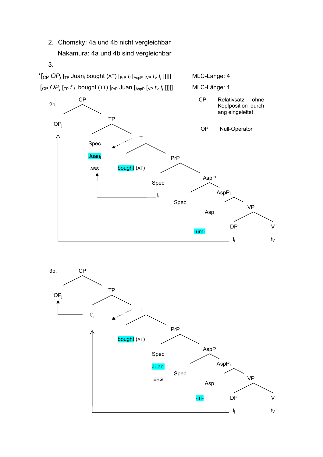2. Chomsky: 4a und 4b nicht vergleichbar Nakamura: 4a und 4b sind vergleichbar



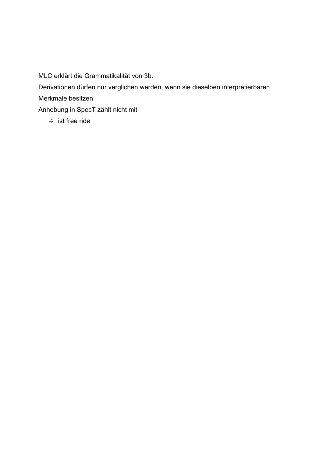MLC erklärt die Grammatikalität von 3b.

Derivationen dürfen nur verglichen werden, wenn sie dieselben interpretierbaren

Merkmale besitzen

Anhebung in SpecT zählt nicht mit

 $\Rightarrow$  ist free ride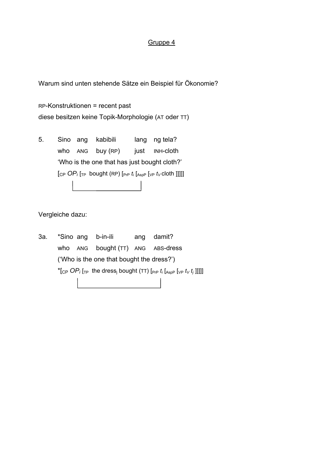Warum sind unten stehende Sätze ein Beispiel für Ökonomie?

RP-Konstruktionen = recent past diese besitzen keine Topik-Morphologie (AT oder TT)

5. Sino ang kabibili lang ng tela? who ANG buy (RP) just INH-cloth 'Who is the one that has just bought cloth?'  $[CP \ OP_{i}]_{TP}$  bought (RP)  $[PP_{TP} \ t_{i}]_{\text{AspP}}$   $[VP \ t_{V}$  cloth ]]]]]

Vergleiche dazu:

3a. \*Sino ang b-in-ili ang damit? who ANG bought (TT) ANG ABS-dress ('Who is the one that bought the dress?') \*[CP  $OP_i$  [<sub>TP</sub> the dress<sub>i</sub> bought (TT) [<sub>PrP</sub>  $t_i$  [<sub>AspP</sub> [<sub>VP</sub>  $t_V$   $t_j$ ]]]]]